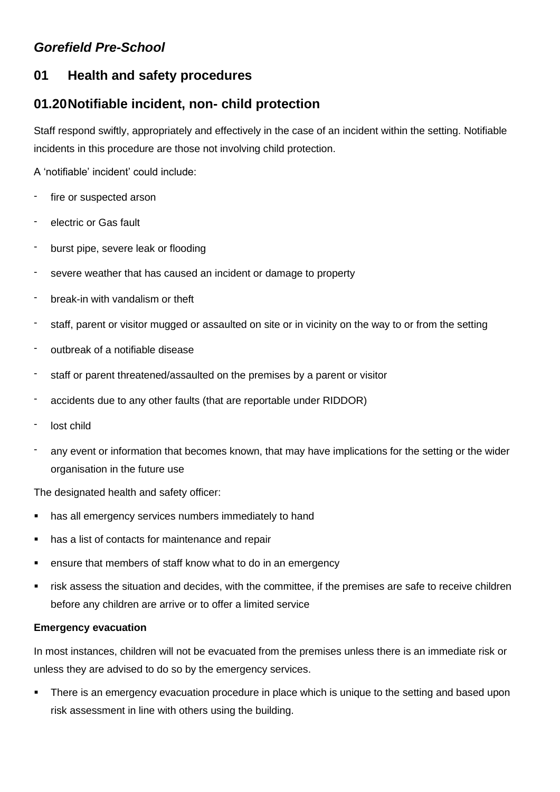# *Gorefield Pre-School*

# **01 Health and safety procedures**

# **01.20Notifiable incident, non- child protection**

Staff respond swiftly, appropriately and effectively in the case of an incident within the setting. Notifiable incidents in this procedure are those not involving child protection.

A 'notifiable' incident' could include:

- fire or suspected arson
- electric or Gas fault
- burst pipe, severe leak or flooding
- severe weather that has caused an incident or damage to property
- break-in with vandalism or theft
- staff, parent or visitor mugged or assaulted on site or in vicinity on the way to or from the setting
- outbreak of a notifiable disease
- staff or parent threatened/assaulted on the premises by a parent or visitor
- accidents due to any other faults (that are reportable under RIDDOR)
- lost child
- any event or information that becomes known, that may have implications for the setting or the wider organisation in the future use

The designated health and safety officer:

- has all emergency services numbers immediately to hand
- has a list of contacts for maintenance and repair
- ensure that members of staff know what to do in an emergency
- **•** risk assess the situation and decides, with the committee, if the premises are safe to receive children before any children are arrive or to offer a limited service

#### **Emergency evacuation**

In most instances, children will not be evacuated from the premises unless there is an immediate risk or unless they are advised to do so by the emergency services.

**•** There is an emergency evacuation procedure in place which is unique to the setting and based upon risk assessment in line with others using the building.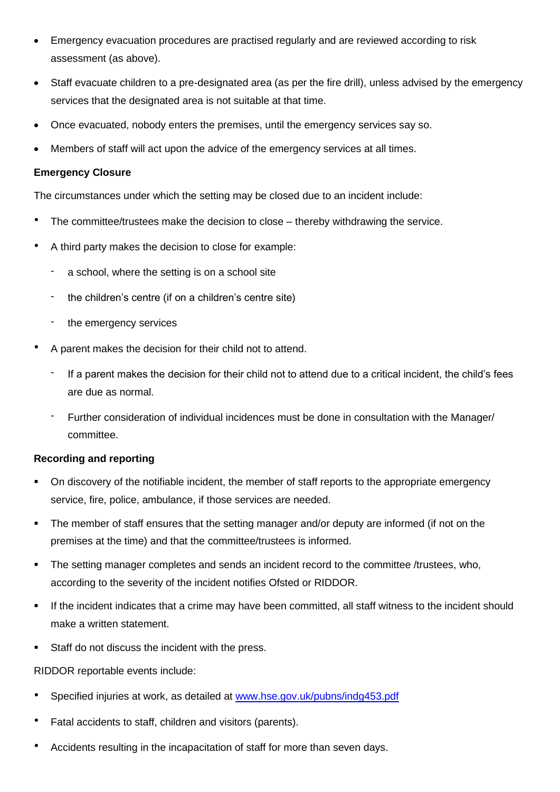- Emergency evacuation procedures are practised regularly and are reviewed according to risk assessment (as above).
- Staff evacuate children to a pre-designated area (as per the fire drill), unless advised by the emergency services that the designated area is not suitable at that time.
- Once evacuated, nobody enters the premises, until the emergency services say so.
- Members of staff will act upon the advice of the emergency services at all times.

#### **Emergency Closure**

The circumstances under which the setting may be closed due to an incident include:

- The committee/trustees make the decision to close thereby withdrawing the service.
- A third party makes the decision to close for example:
	- a school, where the setting is on a school site
	- the children's centre (if on a children's centre site)
	- the emergency services
- A parent makes the decision for their child not to attend.
	- If a parent makes the decision for their child not to attend due to a critical incident, the child's fees are due as normal.
	- Further consideration of individual incidences must be done in consultation with the Manager/ committee.

### **Recording and reporting**

- On discovery of the notifiable incident, the member of staff reports to the appropriate emergency service, fire, police, ambulance, if those services are needed.
- The member of staff ensures that the setting manager and/or deputy are informed (if not on the premises at the time) and that the committee/trustees is informed.
- **•** The setting manager completes and sends an incident record to the committee /trustees, who, according to the severity of the incident notifies Ofsted or RIDDOR.
- If the incident indicates that a crime may have been committed, all staff witness to the incident should make a written statement.
- Staff do not discuss the incident with the press.

### RIDDOR reportable events include:

- Specified injuries at work, as detailed at [www.hse.gov.uk/pubns/indg453.pdf](http://www.hse.gov.uk/pubns/indg453.pdf)
- Fatal accidents to staff, children and visitors (parents).
- Accidents resulting in the incapacitation of staff for more than seven days.